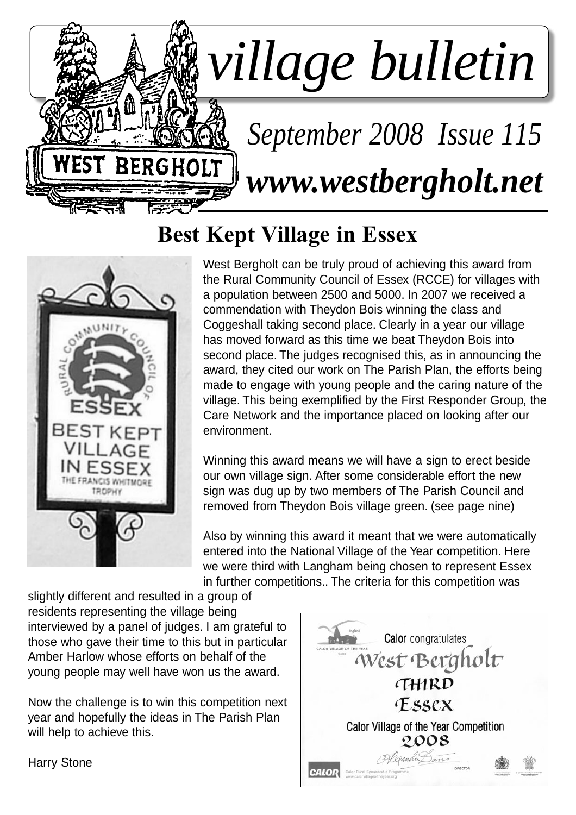

# **Best Kept Village in Essex**



West Bergholt can be truly proud of achieving this award from the Rural Community Council of Essex (RCCE) for villages with a population between 2500 and 5000. In 2007 we received a commendation with Theydon Bois winning the class and Coggeshall taking second place. Clearly in a year our village has moved forward as this time we beat Theydon Bois into second place. The judges recognised this, as in announcing the award, they cited our work on The Parish Plan, the efforts being made to engage with young people and the caring nature of the village. This being exemplified by the First Responder Group, the Care Network and the importance placed on looking after our environment.

Winning this award means we will have a sign to erect beside our own village sign. After some considerable effort the new sign was dug up by two members of The Parish Council and removed from Theydon Bois village green. (see page nine)

Also by winning this award it meant that we were automatically entered into the National Village of the Year competition. Here we were third with Langham being chosen to represent Essex in further competitions.. The criteria for this competition was

slightly different and resulted in a group of residents representing the village being interviewed by a panel of judges. I am grateful to those who gave their time to this but in particular Amber Harlow whose efforts on behalf of the young people may well have won us the award.

Now the challenge is to win this competition next year and hopefully the ideas in The Parish Plan will help to achieve this.



Harry Stone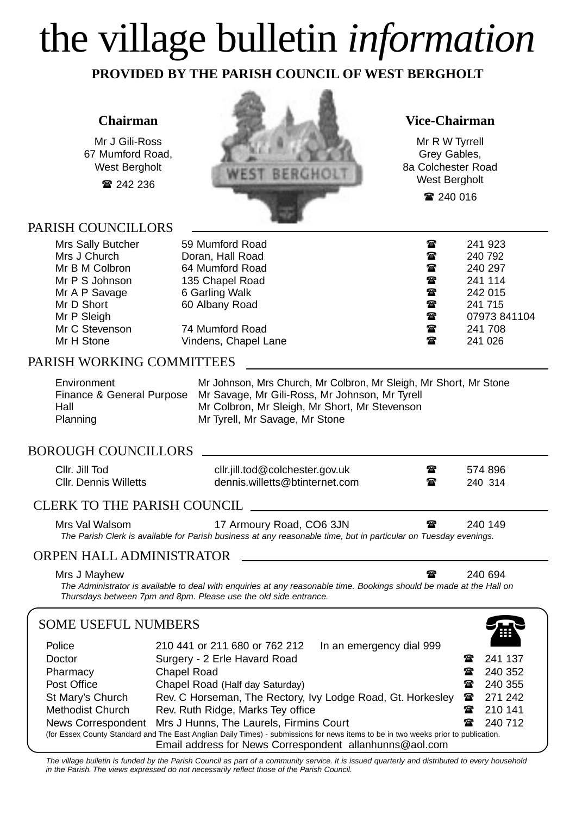# the village bulletin *information*

**PROVIDED BY THE PARISH COUNCIL OF WEST BERGHOLT**

### **Chairman**

Mr J Gili-Ross 67 Mumford Road, West Bergholt

242 236

### PARISH COUNCILLORS



### **Vice-Chairman**

Mr R W Tyrrell Grey Gables, 8a Colchester Road West Bergholt

240 016

| Mrs Sally Butcher<br>Mrs J Church<br>Mr B M Colbron<br>Mr P S Johnson<br>Mr A P Savage<br>Mr D Short | 59 Mumford Road<br>Doran, Hall Road<br>64 Mumford Road<br>135 Chapel Road<br>6 Garling Walk<br>60 Albany Road | $\mathbf{a}$<br>雷<br>$\mathbf{r}$<br>$\mathbf{r}$<br>$\mathbf{r}$<br>$\mathbf{r}$ | 241 923<br>240 792<br>240 297<br>241 114<br>242 015<br>241 715 |
|------------------------------------------------------------------------------------------------------|---------------------------------------------------------------------------------------------------------------|-----------------------------------------------------------------------------------|----------------------------------------------------------------|
|                                                                                                      |                                                                                                               |                                                                                   |                                                                |
|                                                                                                      |                                                                                                               |                                                                                   |                                                                |
|                                                                                                      |                                                                                                               |                                                                                   |                                                                |
| Mr P Sleigh                                                                                          |                                                                                                               | $\mathbf{r}$                                                                      | 07973 841104                                                   |
| Mr C Stevenson                                                                                       | 74 Mumford Road                                                                                               | $\mathbf{a}$                                                                      | 241 708                                                        |
| Mr H Stone                                                                                           | Vindens, Chapel Lane                                                                                          | $\mathbf{a}$                                                                      | 241 026                                                        |
|                                                                                                      |                                                                                                               |                                                                                   |                                                                |

### PARISH WORKING COMMITTEES

| Environment | Mr Johnson, Mrs Church, Mr Colbron, Mr Sleigh, Mr Short, Mr Stone        |
|-------------|--------------------------------------------------------------------------|
|             | Finance & General Purpose Mr Savage, Mr Gili-Ross, Mr Johnson, Mr Tyrell |
| Hall        | Mr Colbron, Mr Sleigh, Mr Short, Mr Stevenson                            |
| Planning    | Mr Tyrell, Mr Savage, Mr Stone                                           |

### BOROUGH COUNCILLORS

| dennis.willetts@btinternet.com<br><b>CIIr. Dennis Willetts</b><br>☎<br>240 314 | Cllr. Jill Tod | cllr.jill.tod@colchester.gov.uk | ☎ | 574 896 |  |
|--------------------------------------------------------------------------------|----------------|---------------------------------|---|---------|--|
|--------------------------------------------------------------------------------|----------------|---------------------------------|---|---------|--|

### CLERK TO THE PARISH COUNCIL

Mrs Val Walsom 17 Armoury Road, CO6 3JN 240 149 *The Parish Clerk is available for Parish business at any reasonable time, but in particular on Tuesday evenings.*

### ORPEN HALL ADMINISTRATOR

Mrs J Mayhew  $\sim$  240 694

*The Administrator is available to deal with enquiries at any reasonable time. Bookings should be made at the Hall on Thursdays between 7pm and 8pm. Please use the old side entrance.*

### SOME USEFUL NUMBERS Police 210 441 or 211 680 or 762 212 In an emergency dial 999 Doctor **Surgery - 2 Erle Havard Road 2008** 241 137 Pharmacy Chapel Road **240 352** 240 352 Post Office **Chapel Road (Half day Saturday)** 240 355 St Mary's Church Rev. C Horseman, The Rectory, Ivy Lodge Road, Gt. Horkesley <sup>2</sup> 271 242 Methodist Church Rev. Ruth Ridge, Marks Tey office **2001 12:30 12:41** 210 141 News Correspondent Mrs J Hunns, The Laurels, Firmins Court **2001 12:33 12:49 712** (for Essex County Standard and The East Anglian Daily Times) - submissions for news items to be in two weeks prior to publication. Email address for News Correspondent allanhunns@aol.com 谷

*The village bulletin is funded by the Parish Council as part of a community service. It is issued quarterly and distributed to every household in the Parish. The views expressed do not necessarily reflect those of the Parish Council.*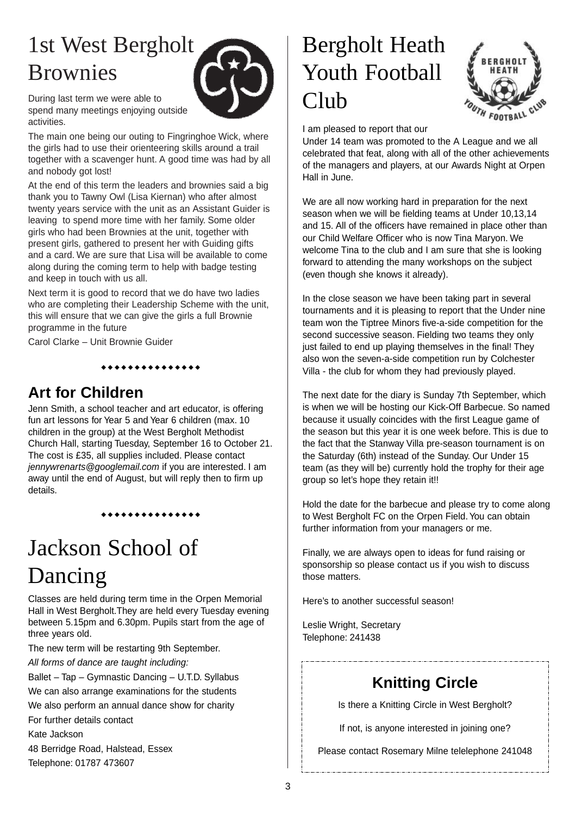# 1st West Bergholt Brownies



During last term we were able to spend many meetings enjoying outside activities.

The main one being our outing to Fingringhoe Wick, where the girls had to use their orienteering skills around a trail together with a scavenger hunt. A good time was had by all and nobody got lost!

At the end of this term the leaders and brownies said a big thank you to Tawny Owl (Lisa Kiernan) who after almost twenty years service with the unit as an Assistant Guider is leaving to spend more time with her family. Some older girls who had been Brownies at the unit, together with present girls, gathered to present her with Guiding gifts and a card. We are sure that Lisa will be available to come along during the coming term to help with badge testing and keep in touch with us all.

Next term it is good to record that we do have two ladies who are completing their Leadership Scheme with the unit. this will ensure that we can give the girls a full Brownie programme in the future

\*\*\*\*\*\*\*\*\*\*\*\*\*

Carol Clarke – Unit Brownie Guider

### **Art for Children**

Jenn Smith, a school teacher and art educator, is offering fun art lessons for Year 5 and Year 6 children (max. 10 children in the group) at the West Bergholt Methodist Church Hall, starting Tuesday, September 16 to October 21. The cost is £35, all supplies included. Please contact *jennywrenarts@googlemail.com* if you are interested. I am away until the end of August, but will reply then to firm up details.

\*\*\*\*\*\*\*\*\*\*\*\*\*

# Jackson School of Dancing

Classes are held during term time in the Orpen Memorial Hall in West Bergholt.They are held every Tuesday evening between 5.15pm and 6.30pm. Pupils start from the age of three years old.

The new term will be restarting 9th September.

*All forms of dance are taught including:*

Ballet – Tap – Gymnastic Dancing – U.T.D. Syllabus

We can also arrange examinations for the students

We also perform an annual dance show for charity

For further details contact

Kate Jackson

48 Berridge Road, Halstead, Essex Telephone: 01787 473607

# Bergholt Heath Youth Football Club



I am pleased to report that our

Under 14 team was promoted to the A League and we all celebrated that feat, along with all of the other achievements of the managers and players, at our Awards Night at Orpen Hall in June.

We are all now working hard in preparation for the next season when we will be fielding teams at Under 10,13,14 and 15. All of the officers have remained in place other than our Child Welfare Officer who is now Tina Maryon. We welcome Tina to the club and I am sure that she is looking forward to attending the many workshops on the subject (even though she knows it already).

In the close season we have been taking part in several tournaments and it is pleasing to report that the Under nine team won the Tiptree Minors five-a-side competition for the second successive season. Fielding two teams they only just failed to end up playing themselves in the final! They also won the seven-a-side competition run by Colchester Villa - the club for whom they had previously played.

The next date for the diary is Sunday 7th September, which is when we will be hosting our Kick-Off Barbecue. So named because it usually coincides with the first League game of the season but this year it is one week before. This is due to the fact that the Stanway Villa pre-season tournament is on the Saturday (6th) instead of the Sunday. Our Under 15 team (as they will be) currently hold the trophy for their age group so let's hope they retain it!!

Hold the date for the barbecue and please try to come along to West Bergholt FC on the Orpen Field. You can obtain further information from your managers or me.

Finally, we are always open to ideas for fund raising or sponsorship so please contact us if you wish to discuss those matters.

Here's to another successful season!

Leslie Wright, Secretary Telephone: 241438

### **Knitting Circle**

Is there a Knitting Circle in West Bergholt?

If not, is anyone interested in joining one?

Please contact Rosemary Milne telelephone 241048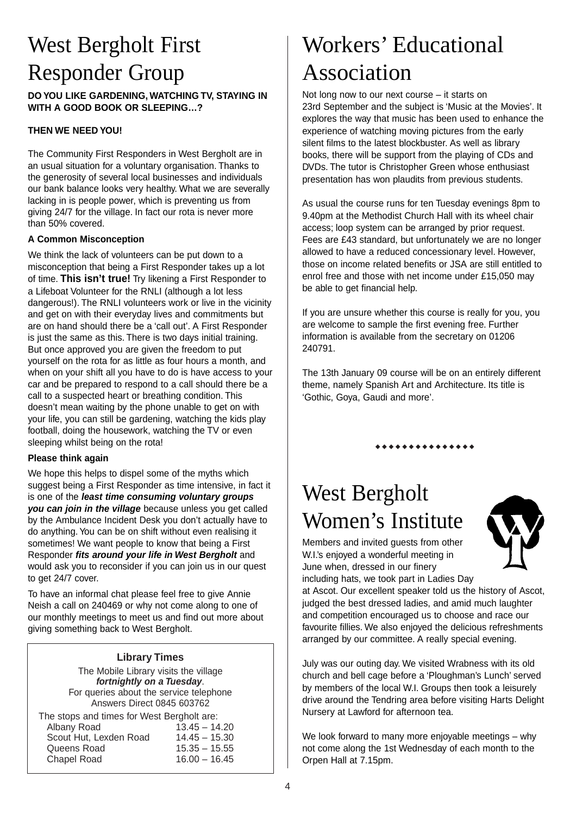# West Bergholt First Responder Group

**DO YOU LIKE GARDENING, WATCHING TV, STAYING IN WITH A GOOD BOOK OR SLEEPING…?**

### **THEN WE NEED YOU!**

The Community First Responders in West Bergholt are in an usual situation for a voluntary organisation. Thanks to the generosity of several local businesses and individuals our bank balance looks very healthy. What we are severally lacking in is people power, which is preventing us from giving 24/7 for the village. In fact our rota is never more than 50% covered.

#### **A Common Misconception**

We think the lack of volunteers can be put down to a misconception that being a First Responder takes up a lot of time. **This isn't true!** Try likening a First Responder to a Lifeboat Volunteer for the RNLI (although a lot less dangerous!). The RNLI volunteers work or live in the vicinity and get on with their everyday lives and commitments but are on hand should there be a 'call out'. A First Responder is just the same as this. There is two days initial training. But once approved you are given the freedom to put yourself on the rota for as little as four hours a month, and when on your shift all you have to do is have access to your car and be prepared to respond to a call should there be a call to a suspected heart or breathing condition. This doesn't mean waiting by the phone unable to get on with your life, you can still be gardening, watching the kids play football, doing the housework, watching the TV or even sleeping whilst being on the rota!

#### **Please think again**

We hope this helps to dispel some of the myths which suggest being a First Responder as time intensive, in fact it is one of the *least time consuming voluntary groups you can join in the village* because unless you get called by the Ambulance Incident Desk you don't actually have to do anything. You can be on shift without even realising it sometimes! We want people to know that being a First Responder *fits around your life in West Bergholt* and would ask you to reconsider if you can join us in our quest to get 24/7 cover.

To have an informal chat please feel free to give Annie Neish a call on 240469 or why not come along to one of our monthly meetings to meet us and find out more about giving something back to West Bergholt.

### **Library Times**

The Mobile Library visits the village *fortnightly on a Tuesday*. For queries about the service telephone Answers Direct 0845 603762

| The stops and times for West Bergholt are: |                 |  |
|--------------------------------------------|-----------------|--|
| Albany Road                                | $13.45 - 14.20$ |  |
| Scout Hut, Lexden Road                     | $14.45 - 15.30$ |  |
| Queens Road                                | $15.35 - 15.55$ |  |
| Chapel Road                                | $16.00 - 16.45$ |  |
|                                            |                 |  |

# Workers' Educational Association

Not long now to our next course – it starts on 23rd September and the subject is 'Music at the Movies'. It explores the way that music has been used to enhance the experience of watching moving pictures from the early silent films to the latest blockbuster. As well as library books, there will be support from the playing of CDs and DVDs. The tutor is Christopher Green whose enthusiast presentation has won plaudits from previous students.

As usual the course runs for ten Tuesday evenings 8pm to 9.40pm at the Methodist Church Hall with its wheel chair access; loop system can be arranged by prior request. Fees are £43 standard, but unfortunately we are no longer allowed to have a reduced concessionary level. However, those on income related benefits or JSA are still entitled to enrol free and those with net income under £15,050 may be able to get financial help.

If you are unsure whether this course is really for you, you are welcome to sample the first evening free. Further information is available from the secretary on 01206 240791.

The 13th January 09 course will be on an entirely different theme, namely Spanish Art and Architecture. Its title is 'Gothic, Goya, Gaudi and more'.

\*\*\*\*\*\*\*\*\*\*\*\*\*

# West Bergholt Women's Institute

Members and invited guests from other W.I.'s enjoyed a wonderful meeting in June when, dressed in our finery including hats, we took part in Ladies Day



at Ascot. Our excellent speaker told us the history of Ascot, judged the best dressed ladies, and amid much laughter and competition encouraged us to choose and race our favourite fillies. We also enjoyed the delicious refreshments arranged by our committee. A really special evening.

July was our outing day. We visited Wrabness with its old church and bell cage before a 'Ploughman's Lunch' served by members of the local W.I. Groups then took a leisurely drive around the Tendring area before visiting Harts Delight Nursery at Lawford for afternoon tea.

We look forward to many more enjoyable meetings – why not come along the 1st Wednesday of each month to the Orpen Hall at 7.15pm.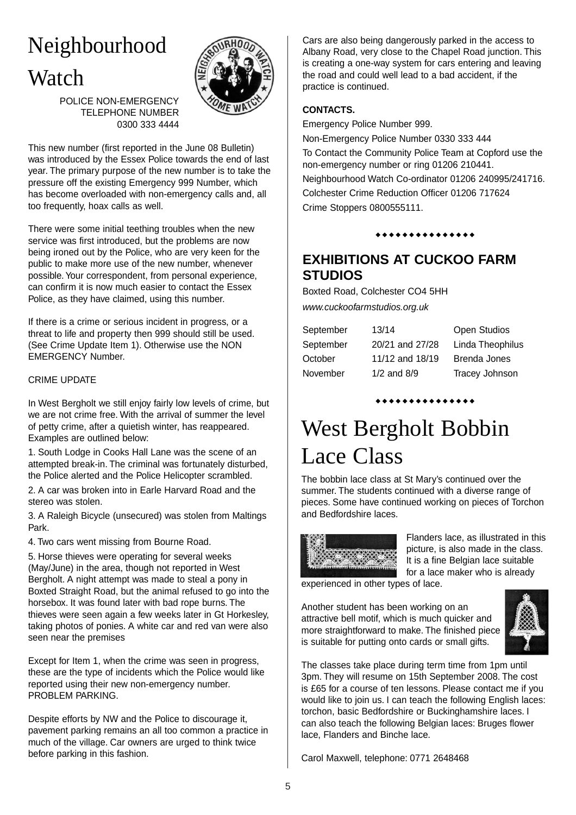# Neighbourhood **Watch**



POLICE NON-EMERGENCY TELEPHONE NUMBER 0300 333 4444

This new number (first reported in the June 08 Bulletin) was introduced by the Essex Police towards the end of last year. The primary purpose of the new number is to take the pressure off the existing Emergency 999 Number, which has become overloaded with non-emergency calls and, all too frequently, hoax calls as well.

There were some initial teething troubles when the new service was first introduced, but the problems are now being ironed out by the Police, who are very keen for the public to make more use of the new number, whenever possible. Your correspondent, from personal experience, can confirm it is now much easier to contact the Essex Police, as they have claimed, using this number.

If there is a crime or serious incident in progress, or a threat to life and property then 999 should still be used. (See Crime Update Item 1). Otherwise use the NON EMERGENCY Number.

#### CRIME UPDATE

In West Bergholt we still enjoy fairly low levels of crime, but we are not crime free. With the arrival of summer the level of petty crime, after a quietish winter, has reappeared. Examples are outlined below:

1. South Lodge in Cooks Hall Lane was the scene of an attempted break-in. The criminal was fortunately disturbed, the Police alerted and the Police Helicopter scrambled.

2. A car was broken into in Earle Harvard Road and the stereo was stolen.

3. A Raleigh Bicycle (unsecured) was stolen from Maltings Park.

4. Two cars went missing from Bourne Road.

5. Horse thieves were operating for several weeks (May/June) in the area, though not reported in West Bergholt. A night attempt was made to steal a pony in Boxted Straight Road, but the animal refused to go into the horsebox. It was found later with bad rope burns. The thieves were seen again a few weeks later in Gt Horkesley, taking photos of ponies. A white car and red van were also seen near the premises

Except for Item 1, when the crime was seen in progress, these are the type of incidents which the Police would like reported using their new non-emergency number. PROBLEM PARKING.

Despite efforts by NW and the Police to discourage it, pavement parking remains an all too common a practice in much of the village. Car owners are urged to think twice before parking in this fashion.

Cars are also being dangerously parked in the access to Albany Road, very close to the Chapel Road junction. This is creating a one-way system for cars entering and leaving the road and could well lead to a bad accident, if the practice is continued.

#### **CONTACTS.**

Emergency Police Number 999.

Non-Emergency Police Number 0330 333 444 To Contact the Community Police Team at Copford use the non-emergency number or ring 01206 210441. Neighbourhood Watch Co-ordinator 01206 240995/241716. Colchester Crime Reduction Officer 01206 717624 Crime Stoppers 0800555111.

\*\*\*\*\*\*\*\*\*\*\*\*\*

### **EXHIBITIONS AT CUCKOO FARM STUDIOS**

Boxted Road, Colchester CO4 5HH *www.cuckoofarmstudios.org.uk*

September 13/14 Open Studios

| September |  |
|-----------|--|
| October   |  |
| November  |  |

20/21 and 27/28 Linda Theophilus  $11/12$  and  $18/19$  Brenda Jones 1/2 and 8/9 Tracey Johnson

### \*\*\*\*\*\*\*\*\*\*\*\*\*

# West Bergholt Bobbin Lace Class

The bobbin lace class at St Mary's continued over the summer. The students continued with a diverse range of pieces. Some have continued working on pieces of Torchon and Bedfordshire laces.



Flanders lace, as illustrated in this picture, is also made in the class. It is a fine Belgian lace suitable for a lace maker who is already

experienced in other types of lace.

Another student has been working on an attractive bell motif, which is much quicker and more straightforward to make. The finished piece is suitable for putting onto cards or small gifts.



The classes take place during term time from 1pm until 3pm. They will resume on 15th September 2008. The cost is £65 for a course of ten lessons. Please contact me if you would like to join us. I can teach the following English laces: torchon, basic Bedfordshire or Buckinghamshire laces. I can also teach the following Belgian laces: Bruges flower lace, Flanders and Binche lace.

Carol Maxwell, telephone: 0771 2648468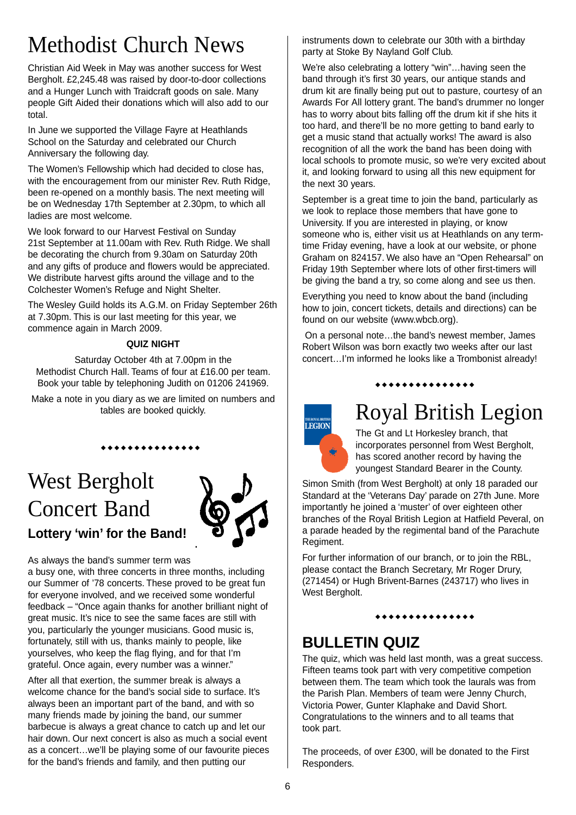# Methodist Church News

Christian Aid Week in May was another success for West Bergholt. £2,245.48 was raised by door-to-door collections and a Hunger Lunch with Traidcraft goods on sale. Many people Gift Aided their donations which will also add to our total.

In June we supported the Village Fayre at Heathlands School on the Saturday and celebrated our Church Anniversary the following day.

The Women's Fellowship which had decided to close has, with the encouragement from our minister Rev. Ruth Ridge, been re-opened on a monthly basis. The next meeting will be on Wednesday 17th September at 2.30pm, to which all ladies are most welcome.

We look forward to our Harvest Festival on Sunday 21st September at 11.00am with Rev. Ruth Ridge. We shall be decorating the church from 9.30am on Saturday 20th and any gifts of produce and flowers would be appreciated. We distribute harvest gifts around the village and to the Colchester Women's Refuge and Night Shelter.

The Wesley Guild holds its A.G.M. on Friday September 26th at 7.30pm. This is our last meeting for this year, we commence again in March 2009.

### **QUIZ NIGHT**

Saturday October 4th at 7.00pm in the Methodist Church Hall. Teams of four at £16.00 per team. Book your table by telephoning Judith on 01206 241969.

Make a note in you diary as we are limited on numbers and tables are booked quickly.

\*\*\*\*\*\*\*\*\*\*\*\*\*

# West Bergholt Concert Band **Lottery 'win' for the Band!**



As always the band's summer term was

a busy one, with three concerts in three months, including our Summer of '78 concerts. These proved to be great fun for everyone involved, and we received some wonderful feedback – "Once again thanks for another brilliant night of great music. It's nice to see the same faces are still with you, particularly the younger musicians. Good music is, fortunately, still with us, thanks mainly to people, like yourselves, who keep the flag flying, and for that I'm grateful. Once again, every number was a winner."

After all that exertion, the summer break is always a welcome chance for the band's social side to surface. It's always been an important part of the band, and with so many friends made by joining the band, our summer barbecue is always a great chance to catch up and let our hair down. Our next concert is also as much a social event as a concert…we'll be playing some of our favourite pieces for the band's friends and family, and then putting our

instruments down to celebrate our 30th with a birthday party at Stoke By Nayland Golf Club.

We're also celebrating a lottery "win"…having seen the band through it's first 30 years, our antique stands and drum kit are finally being put out to pasture, courtesy of an Awards For All lottery grant. The band's drummer no longer has to worry about bits falling off the drum kit if she hits it too hard, and there'll be no more getting to band early to get a music stand that actually works! The award is also recognition of all the work the band has been doing with local schools to promote music, so we're very excited about it, and looking forward to using all this new equipment for the next 30 years.

September is a great time to join the band, particularly as we look to replace those members that have gone to University. If you are interested in playing, or know someone who is, either visit us at Heathlands on any termtime Friday evening, have a look at our website, or phone Graham on 824157. We also have an "Open Rehearsal" on Friday 19th September where lots of other first-timers will be giving the band a try, so come along and see us then.

Everything you need to know about the band (including how to join, concert tickets, details and directions) can be found on our website (www.wbcb.org).

On a personal note…the band's newest member, James Robert Wilson was born exactly two weeks after our last concert…I'm informed he looks like a Trombonist already!

#### \*\*\*\*\*\*\*\*\*\*\*\*\*



# Royal British Legion

The Gt and Lt Horkesley branch, that incorporates personnel from West Bergholt, has scored another record by having the youngest Standard Bearer in the County.

Simon Smith (from West Bergholt) at only 18 paraded our Standard at the 'Veterans Day' parade on 27th June. More importantly he joined a 'muster' of over eighteen other branches of the Royal British Legion at Hatfield Peveral, on a parade headed by the regimental band of the Parachute Regiment.

For further information of our branch, or to join the RBL, please contact the Branch Secretary, Mr Roger Drury, (271454) or Hugh Brivent-Barnes (243717) who lives in West Bergholt.

### \*\*\*\*\*\*\*\*\*\*\*\*\*

### **BULLETIN QUIZ**

The quiz, which was held last month, was a great success. Fifteen teams took part with very competitive competion between them. The team which took the laurals was from the Parish Plan. Members of team were Jenny Church, Victoria Power, Gunter Klaphake and David Short. Congratulations to the winners and to all teams that took part.

The proceeds, of over £300, will be donated to the First Responders.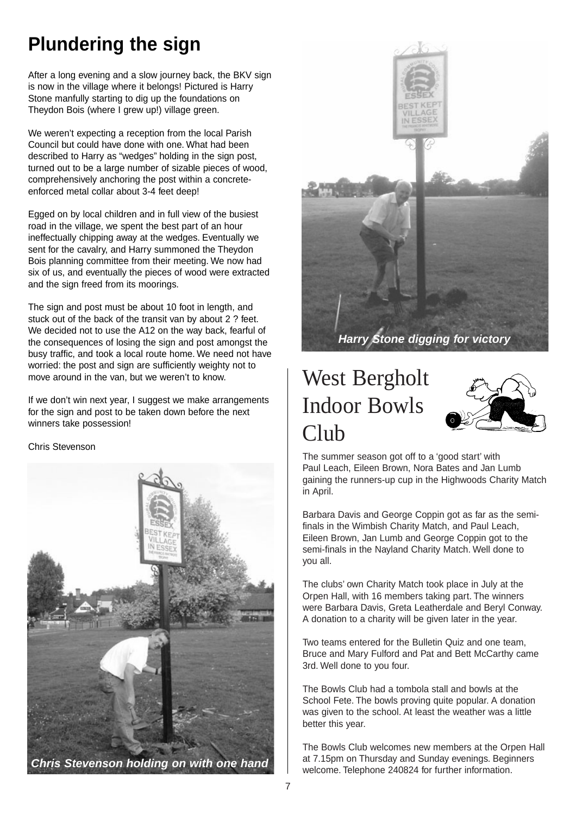## **Plundering the sign**

After a long evening and a slow journey back, the BKV sign is now in the village where it belongs! Pictured is Harry Stone manfully starting to dig up the foundations on Theydon Bois (where I grew up!) village green.

We weren't expecting a reception from the local Parish Council but could have done with one. What had been described to Harry as "wedges" holding in the sign post, turned out to be a large number of sizable pieces of wood, comprehensively anchoring the post within a concreteenforced metal collar about 3-4 feet deep!

Egged on by local children and in full view of the busiest road in the village, we spent the best part of an hour ineffectually chipping away at the wedges. Eventually we sent for the cavalry, and Harry summoned the Theydon Bois planning committee from their meeting. We now had six of us, and eventually the pieces of wood were extracted and the sign freed from its moorings.

The sign and post must be about 10 foot in length, and stuck out of the back of the transit van by about 2 ? feet. We decided not to use the A12 on the way back, fearful of the consequences of losing the sign and post amongst the busy traffic, and took a local route home. We need not have worried: the post and sign are sufficiently weighty not to move around in the van, but we weren't to know.

If we don't win next year, I suggest we make arrangements for the sign and post to be taken down before the next winners take possession!

#### Chris Stevenson





# West Bergholt Indoor Bowls Club



The summer season got off to a 'good start' with Paul Leach, Eileen Brown, Nora Bates and Jan Lumb gaining the runners-up cup in the Highwoods Charity Match in April.

Barbara Davis and George Coppin got as far as the semifinals in the Wimbish Charity Match, and Paul Leach, Eileen Brown, Jan Lumb and George Coppin got to the semi-finals in the Nayland Charity Match. Well done to you all.

The clubs' own Charity Match took place in July at the Orpen Hall, with 16 members taking part. The winners were Barbara Davis, Greta Leatherdale and Beryl Conway. A donation to a charity will be given later in the year.

Two teams entered for the Bulletin Quiz and one team, Bruce and Mary Fulford and Pat and Bett McCarthy came 3rd. Well done to you four.

The Bowls Club had a tombola stall and bowls at the School Fete. The bowls proving quite popular. A donation was given to the school. At least the weather was a little better this year.

The Bowls Club welcomes new members at the Orpen Hall at 7.15pm on Thursday and Sunday evenings. Beginners welcome. Telephone 240824 for further information.

*Chris Stevenson holding on with one hand*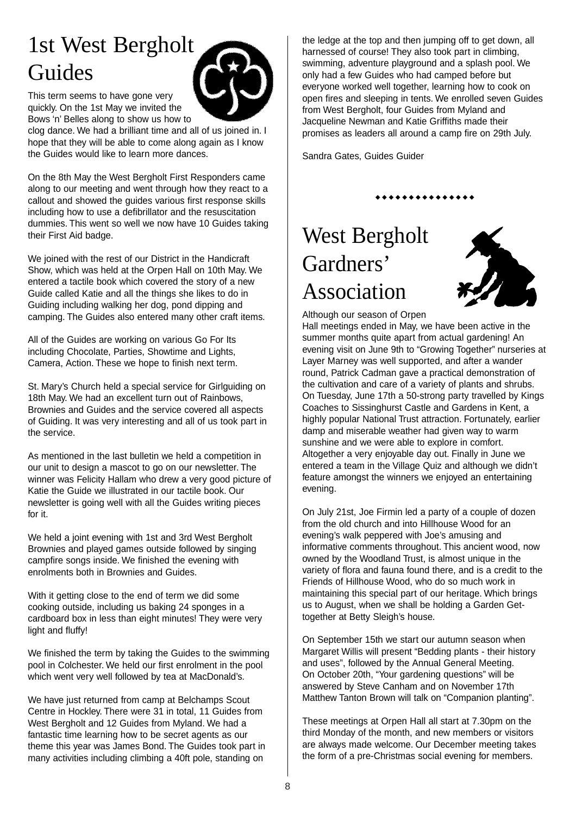# 1st West Bergholt Guides



This term seems to have gone very quickly. On the 1st May we invited the Bows 'n' Belles along to show us how to

clog dance. We had a brilliant time and all of us joined in. I hope that they will be able to come along again as I know the Guides would like to learn more dances.

On the 8th May the West Bergholt First Responders came along to our meeting and went through how they react to a callout and showed the guides various first response skills including how to use a defibrillator and the resuscitation dummies. This went so well we now have 10 Guides taking their First Aid badge.

We joined with the rest of our District in the Handicraft Show, which was held at the Orpen Hall on 10th May. We entered a tactile book which covered the story of a new Guide called Katie and all the things she likes to do in Guiding including walking her dog, pond dipping and camping. The Guides also entered many other craft items.

All of the Guides are working on various Go For Its including Chocolate, Parties, Showtime and Lights, Camera, Action. These we hope to finish next term.

St. Mary's Church held a special service for Girlguiding on 18th May. We had an excellent turn out of Rainbows, Brownies and Guides and the service covered all aspects of Guiding. It was very interesting and all of us took part in the service.

As mentioned in the last bulletin we held a competition in our unit to design a mascot to go on our newsletter. The winner was Felicity Hallam who drew a very good picture of Katie the Guide we illustrated in our tactile book. Our newsletter is going well with all the Guides writing pieces for it.

We held a joint evening with 1st and 3rd West Bergholt Brownies and played games outside followed by singing campfire songs inside. We finished the evening with enrolments both in Brownies and Guides.

With it getting close to the end of term we did some cooking outside, including us baking 24 sponges in a cardboard box in less than eight minutes! They were very light and fluffy!

We finished the term by taking the Guides to the swimming pool in Colchester. We held our first enrolment in the pool which went very well followed by tea at MacDonald's.

We have just returned from camp at Belchamps Scout Centre in Hockley. There were 31 in total, 11 Guides from West Bergholt and 12 Guides from Myland. We had a fantastic time learning how to be secret agents as our theme this year was James Bond. The Guides took part in many activities including climbing a 40ft pole, standing on

the ledge at the top and then jumping off to get down, all harnessed of course! They also took part in climbing, swimming, adventure playground and a splash pool. We only had a few Guides who had camped before but everyone worked well together, learning how to cook on open fires and sleeping in tents. We enrolled seven Guides from West Bergholt, four Guides from Myland and Jacqueline Newman and Katie Griffiths made their promises as leaders all around a camp fire on 29th July.

\*\*\*\*\*\*\*\*\*\*\*\*\*

Sandra Gates, Guides Guider

West Bergholt Gardners' Association



Although our season of Orpen

Hall meetings ended in May, we have been active in the summer months quite apart from actual gardening! An evening visit on June 9th to "Growing Together" nurseries at Layer Marney was well supported, and after a wander round, Patrick Cadman gave a practical demonstration of the cultivation and care of a variety of plants and shrubs. On Tuesday, June 17th a 50-strong party travelled by Kings Coaches to Sissinghurst Castle and Gardens in Kent, a highly popular National Trust attraction. Fortunately, earlier damp and miserable weather had given way to warm sunshine and we were able to explore in comfort. Altogether a very enjoyable day out. Finally in June we entered a team in the Village Quiz and although we didn't feature amongst the winners we enjoyed an entertaining evening.

On July 21st, Joe Firmin led a party of a couple of dozen from the old church and into Hillhouse Wood for an evening's walk peppered with Joe's amusing and informative comments throughout. This ancient wood, now owned by the Woodland Trust, is almost unique in the variety of flora and fauna found there, and is a credit to the Friends of Hillhouse Wood, who do so much work in maintaining this special part of our heritage. Which brings us to August, when we shall be holding a Garden Gettogether at Betty Sleigh's house.

On September 15th we start our autumn season when Margaret Willis will present "Bedding plants - their history and uses", followed by the Annual General Meeting. On October 20th, "Your gardening questions" will be answered by Steve Canham and on November 17th Matthew Tanton Brown will talk on "Companion planting".

These meetings at Orpen Hall all start at 7.30pm on the third Monday of the month, and new members or visitors are always made welcome. Our December meeting takes the form of a pre-Christmas social evening for members.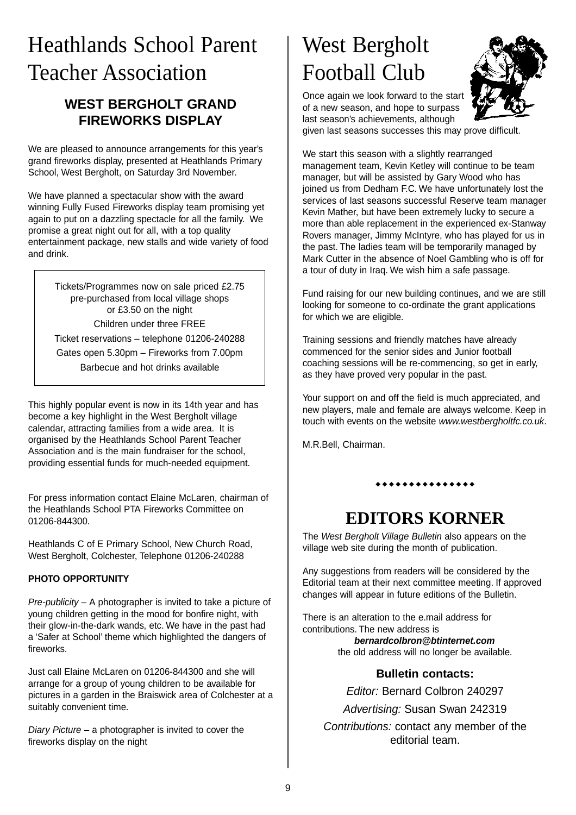# Heathlands School Parent Teacher Association

### **WEST BERGHOLT GRAND FIREWORKS DISPLAY**

We are pleased to announce arrangements for this year's grand fireworks display, presented at Heathlands Primary School, West Bergholt, on Saturday 3rd November.

We have planned a spectacular show with the award winning Fully Fused Fireworks display team promising yet again to put on a dazzling spectacle for all the family. We promise a great night out for all, with a top quality entertainment package, new stalls and wide variety of food and drink.

Tickets/Programmes now on sale priced £2.75 pre-purchased from local village shops or £3.50 on the night Children under three FREE Ticket reservations – telephone 01206-240288 Gates open 5.30pm – Fireworks from 7.00pm Barbecue and hot drinks available

This highly popular event is now in its 14th year and has become a key highlight in the West Bergholt village calendar, attracting families from a wide area. It is organised by the Heathlands School Parent Teacher Association and is the main fundraiser for the school, providing essential funds for much-needed equipment.

For press information contact Elaine McLaren, chairman of the Heathlands School PTA Fireworks Committee on 01206-844300.

Heathlands C of E Primary School, New Church Road, West Bergholt, Colchester, Telephone 01206-240288

### **PHOTO OPPORTUNITY**

*Pre-publicity* – A photographer is invited to take a picture of young children getting in the mood for bonfire night, with their glow-in-the-dark wands, etc. We have in the past had a 'Safer at School' theme which highlighted the dangers of fireworks.

Just call Elaine McLaren on 01206-844300 and she will arrange for a group of young children to be available for pictures in a garden in the Braiswick area of Colchester at a suitably convenient time.

*Diary Picture* – a photographer is invited to cover the fireworks display on the night

# West Bergholt Football Club



Once again we look forward to the start of a new season, and hope to surpass last season's achievements, although

given last seasons successes this may prove difficult.

We start this season with a slightly rearranged management team, Kevin Ketley will continue to be team manager, but will be assisted by Gary Wood who has joined us from Dedham F.C. We have unfortunately lost the services of last seasons successful Reserve team manager Kevin Mather, but have been extremely lucky to secure a more than able replacement in the experienced ex-Stanway Rovers manager, Jimmy McIntyre, who has played for us in the past. The ladies team will be temporarily managed by Mark Cutter in the absence of Noel Gambling who is off for a tour of duty in Iraq. We wish him a safe passage.

Fund raising for our new building continues, and we are still looking for someone to co-ordinate the grant applications for which we are eligible.

Training sessions and friendly matches have already commenced for the senior sides and Junior football coaching sessions will be re-commencing, so get in early, as they have proved very popular in the past.

Your support on and off the field is much appreciated, and new players, male and female are always welcome. Keep in touch with events on the website *www.westbergholtfc.co.uk*.

M.R.Bell, Chairman.

### \*\*\*\*\*\*\*\*\*\*\*\*\*

### **EDITORS KORNER**

The *West Bergholt Village Bulletin* also appears on the village web site during the month of publication.

Any suggestions from readers will be considered by the Editorial team at their next committee meeting. If approved changes will appear in future editions of the Bulletin.

There is an alteration to the e.mail address for contributions. The new address is *bernardcolbron@btinternet.com*

the old address will no longer be available.

### **Bulletin contacts:**

*Editor:* Bernard Colbron 240297

*Advertising:* Susan Swan 242319

*Contributions:* contact any member of the editorial team.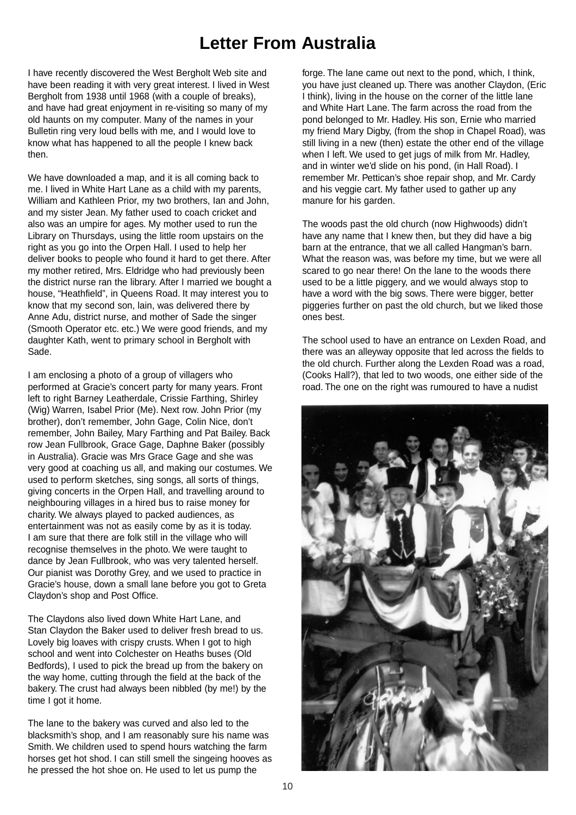### **Letter From Australia**

I have recently discovered the West Bergholt Web site and have been reading it with very great interest. I lived in West Bergholt from 1938 until 1968 (with a couple of breaks), and have had great enjoyment in re-visiting so many of my old haunts on my computer. Many of the names in your Bulletin ring very loud bells with me, and I would love to know what has happened to all the people I knew back then.

We have downloaded a map, and it is all coming back to me. I lived in White Hart Lane as a child with my parents, William and Kathleen Prior, my two brothers, Ian and John, and my sister Jean. My father used to coach cricket and also was an umpire for ages. My mother used to run the Library on Thursdays, using the little room upstairs on the right as you go into the Orpen Hall. I used to help her deliver books to people who found it hard to get there. After my mother retired, Mrs. Eldridge who had previously been the district nurse ran the library. After I married we bought a house, "Heathfield", in Queens Road. It may interest you to know that my second son, lain, was delivered there by Anne Adu, district nurse, and mother of Sade the singer (Smooth Operator etc. etc.) We were good friends, and my daughter Kath, went to primary school in Bergholt with Sade.

I am enclosing a photo of a group of villagers who performed at Gracie's concert party for many years. Front left to right Barney Leatherdale, Crissie Farthing, Shirley (Wig) Warren, Isabel Prior (Me). Next row. John Prior (my brother), don't remember, John Gage, Colin Nice, don't remember, John Bailey, Mary Farthing and Pat Bailey. Back row Jean Fullbrook, Grace Gage, Daphne Baker (possibly in Australia). Gracie was Mrs Grace Gage and she was very good at coaching us all, and making our costumes. We used to perform sketches, sing songs, all sorts of things, giving concerts in the Orpen Hall, and travelling around to neighbouring villages in a hired bus to raise money for charity. We always played to packed audiences, as entertainment was not as easily come by as it is today. I am sure that there are folk still in the village who will recognise themselves in the photo. We were taught to dance by Jean Fullbrook, who was very talented herself. Our pianist was Dorothy Grey, and we used to practice in Gracie's house, down a small lane before you got to Greta Claydon's shop and Post Office.

The Claydons also lived down White Hart Lane, and Stan Claydon the Baker used to deliver fresh bread to us. Lovely big loaves with crispy crusts. When I got to high school and went into Colchester on Heaths buses (Old Bedfords), I used to pick the bread up from the bakery on the way home, cutting through the field at the back of the bakery. The crust had always been nibbled (by me!) by the time I got it home.

The lane to the bakery was curved and also led to the blacksmith's shop, and I am reasonably sure his name was Smith. We children used to spend hours watching the farm horses get hot shod. I can still smell the singeing hooves as he pressed the hot shoe on. He used to let us pump the

forge. The lane came out next to the pond, which, I think, you have just cleaned up. There was another Claydon, (Eric I think), living in the house on the corner of the little lane and White Hart Lane. The farm across the road from the pond belonged to Mr. Hadley. His son, Ernie who married my friend Mary Digby, (from the shop in Chapel Road), was still living in a new (then) estate the other end of the village when I left. We used to get jugs of milk from Mr. Hadley, and in winter we'd slide on his pond, (in Hall Road). I remember Mr. Pettican's shoe repair shop, and Mr. Cardy and his veggie cart. My father used to gather up any manure for his garden.

The woods past the old church (now Highwoods) didn't have any name that I knew then, but they did have a big barn at the entrance, that we all called Hangman's barn. What the reason was, was before my time, but we were all scared to go near there! On the lane to the woods there used to be a little piggery, and we would always stop to have a word with the big sows. There were bigger, better piggeries further on past the old church, but we liked those ones best.

The school used to have an entrance on Lexden Road, and there was an alleyway opposite that led across the fields to the old church. Further along the Lexden Road was a road, (Cooks Hall?), that led to two woods, one either side of the road. The one on the right was rumoured to have a nudist

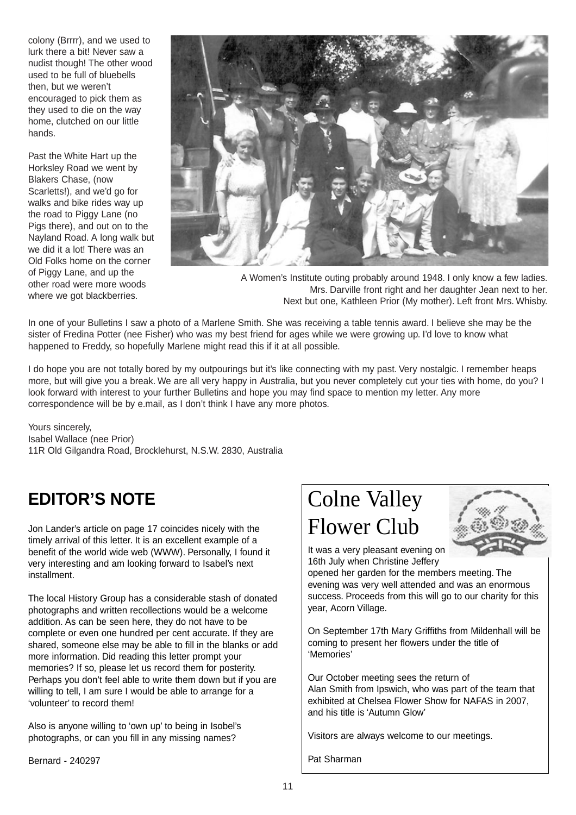colony (Brrrr), and we used to lurk there a bit! Never saw a nudist though! The other wood used to be full of bluebells then, but we weren't encouraged to pick them as they used to die on the way home, clutched on our little hands.

Past the White Hart up the Horksley Road we went by Blakers Chase, (now Scarletts!), and we'd go for walks and bike rides way up the road to Piggy Lane (no Pigs there), and out on to the Nayland Road. A long walk but we did it a lot! There was an Old Folks home on the corner of Piggy Lane, and up the other road were more woods where we got blackberries.



A Women's Institute outing probably around 1948. I only know a few ladies. Mrs. Darville front right and her daughter Jean next to her. Next but one, Kathleen Prior (My mother). Left front Mrs. Whisby.

In one of your Bulletins I saw a photo of a Marlene Smith. She was receiving a table tennis award. I believe she may be the sister of Fredina Potter (nee Fisher) who was my best friend for ages while we were growing up. I'd love to know what happened to Freddy, so hopefully Marlene might read this if it at all possible.

I do hope you are not totally bored by my outpourings but it's like connecting with my past. Very nostalgic. I remember heaps more, but will give you a break. We are all very happy in Australia, but you never completely cut your ties with home, do you? I look forward with interest to your further Bulletins and hope you may find space to mention my letter. Any more correspondence will be by e.mail, as I don't think I have any more photos.

Yours sincerely, Isabel Wallace (nee Prior) 11R Old Gilgandra Road, Brocklehurst, N.S.W. 2830, Australia

### **EDITOR'S NOTE**

Jon Lander's article on page 17 coincides nicely with the timely arrival of this letter. It is an excellent example of a benefit of the world wide web (WWW). Personally, I found it very interesting and am looking forward to Isabel's next installment.

The local History Group has a considerable stash of donated photographs and written recollections would be a welcome addition. As can be seen here, they do not have to be complete or even one hundred per cent accurate. If they are shared, someone else may be able to fill in the blanks or add more information. Did reading this letter prompt your memories? If so, please let us record them for posterity. Perhaps you don't feel able to write them down but if you are willing to tell. I am sure I would be able to arrange for a 'volunteer' to record them!

Also is anyone willing to 'own up' to being in Isobel's photographs, or can you fill in any missing names?

Bernard - 240297

# Colne Valley Flower Club



It was a very pleasant evening on 16th July when Christine Jeffery

opened her garden for the members meeting. The evening was very well attended and was an enormous success. Proceeds from this will go to our charity for this year, Acorn Village.

On September 17th Mary Griffiths from Mildenhall will be coming to present her flowers under the title of 'Memories'

Our October meeting sees the return of Alan Smith from Ipswich, who was part of the team that exhibited at Chelsea Flower Show for NAFAS in 2007, and his title is 'Autumn Glow'

Visitors are always welcome to our meetings.

Pat Sharman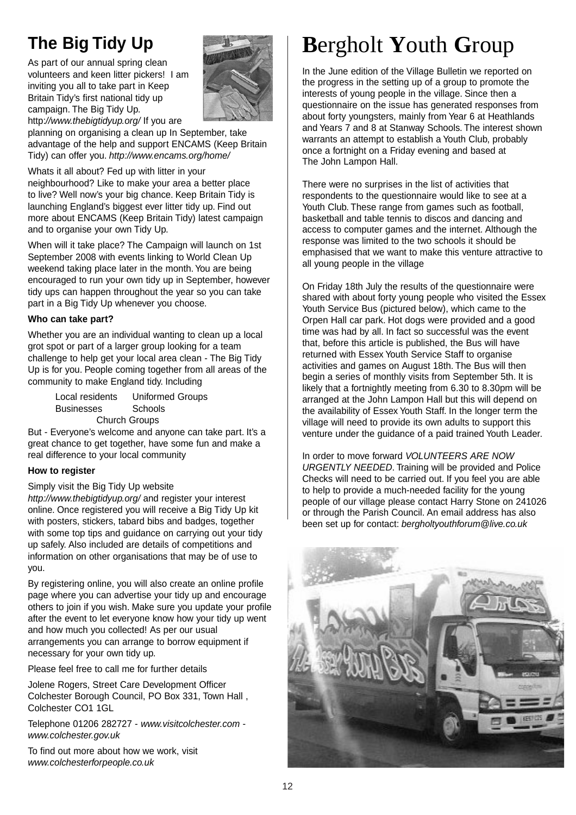## **The Big Tidy Up**

As part of our annual spring clean volunteers and keen litter pickers! I am inviting you all to take part in Keep Britain Tidy's first national tidy up campaign. The Big Tidy Up. http:*//www.thebigtidyup.org/* If you are



planning on organising a clean up In September, take advantage of the help and support ENCAMS (Keep Britain Tidy) can offer you. *http://www.encams.org/home/* 

Whats it all about? Fed up with litter in your

neighbourhood? Like to make your area a better place to live? Well now's your big chance. Keep Britain Tidy is launching England's biggest ever litter tidy up. Find out more about ENCAMS (Keep Britain Tidy) latest campaign and to organise your own Tidy Up.

When will it take place? The Campaign will launch on 1st September 2008 with events linking to World Clean Up weekend taking place later in the month. You are being encouraged to run your own tidy up in September, however tidy ups can happen throughout the year so you can take part in a Big Tidy Up whenever you choose.

### **Who can take part?**

Whether you are an individual wanting to clean up a local grot spot or part of a larger group looking for a team challenge to help get your local area clean - The Big Tidy Up is for you. People coming together from all areas of the community to make England tidy. Including

> Local residents Uniformed Groups Businesses Schools Church Groups

But - Everyone's welcome and anyone can take part. It's a great chance to get together, have some fun and make a real difference to your local community

#### **How to register**

Simply visit the Big Tidy Up website

*http://www.thebigtidyup.org/* and register your interest online. Once registered you will receive a Big Tidy Up kit with posters, stickers, tabard bibs and badges, together with some top tips and guidance on carrying out your tidy up safely. Also included are details of competitions and information on other organisations that may be of use to you.

By registering online, you will also create an online profile page where you can advertise your tidy up and encourage others to join if you wish. Make sure you update your profile after the event to let everyone know how your tidy up went and how much you collected! As per our usual arrangements you can arrange to borrow equipment if necessary for your own tidy up.

Please feel free to call me for further details

Jolene Rogers, Street Care Development Officer Colchester Borough Council, PO Box 331, Town Hall , Colchester CO1 1GL

Telephone 01206 282727 - *www.visitcolchester.com www.colchester.gov.uk*

To find out more about how we work, visit *www.colchesterforpeople.co.uk*

# **B**ergholt **Y**outh **G**roup

In the June edition of the Village Bulletin we reported on the progress in the setting up of a group to promote the interests of young people in the village. Since then a questionnaire on the issue has generated responses from about forty youngsters, mainly from Year 6 at Heathlands and Years 7 and 8 at Stanway Schools. The interest shown warrants an attempt to establish a Youth Club, probably once a fortnight on a Friday evening and based at The John Lampon Hall.

There were no surprises in the list of activities that respondents to the questionnaire would like to see at a Youth Club. These range from games such as football, basketball and table tennis to discos and dancing and access to computer games and the internet. Although the response was limited to the two schools it should be emphasised that we want to make this venture attractive to all young people in the village

On Friday 18th July the results of the questionnaire were shared with about forty young people who visited the Essex Youth Service Bus (pictured below), which came to the Orpen Hall car park. Hot dogs were provided and a good time was had by all. In fact so successful was the event that, before this article is published, the Bus will have returned with Essex Youth Service Staff to organise activities and games on August 18th. The Bus will then begin a series of monthly visits from September 5th. It is likely that a fortnightly meeting from 6.30 to 8.30pm will be arranged at the John Lampon Hall but this will depend on the availability of Essex Youth Staff. In the longer term the village will need to provide its own adults to support this venture under the guidance of a paid trained Youth Leader.

In order to move forward *VOLUNTEERS ARE NOW URGENTLY NEEDED*. Training will be provided and Police Checks will need to be carried out. If you feel you are able to help to provide a much-needed facility for the young people of our village please contact Harry Stone on 241026 or through the Parish Council. An email address has also been set up for contact: *bergholtyouthforum@live.co.uk*

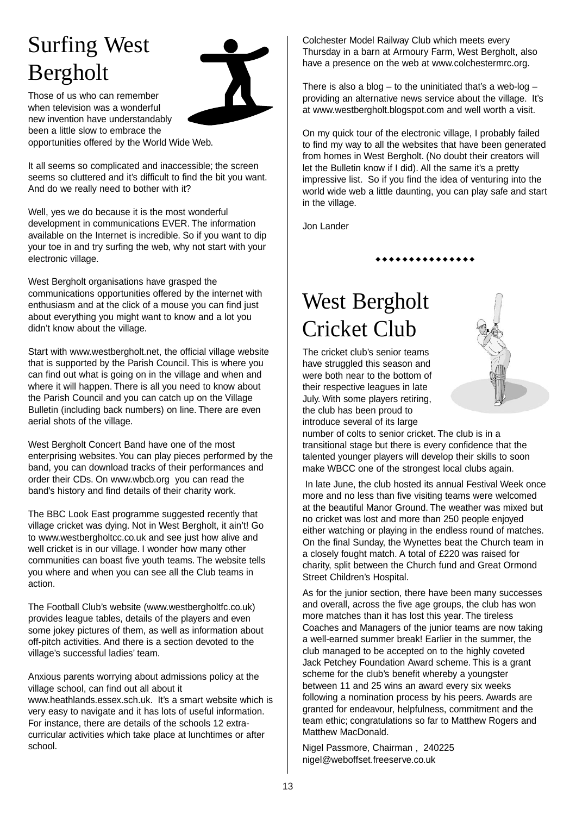# Surfing West Bergholt



Those of us who can remember when television was a wonderful new invention have understandably been a little slow to embrace the opportunities offered by the World Wide Web.

It all seems so complicated and inaccessible; the screen seems so cluttered and it's difficult to find the bit you want. And do we really need to bother with it?

Well, yes we do because it is the most wonderful development in communications EVER. The information available on the Internet is incredible. So if you want to dip your toe in and try surfing the web, why not start with your electronic village.

West Bergholt organisations have grasped the communications opportunities offered by the internet with enthusiasm and at the click of a mouse you can find just about everything you might want to know and a lot you didn't know about the village.

Start with www.westbergholt.net, the official village website that is supported by the Parish Council. This is where you can find out what is going on in the village and when and where it will happen. There is all you need to know about the Parish Council and you can catch up on the Village Bulletin (including back numbers) on line. There are even aerial shots of the village.

West Bergholt Concert Band have one of the most enterprising websites. You can play pieces performed by the band, you can download tracks of their performances and order their CDs. On www.wbcb.org you can read the band's history and find details of their charity work.

The BBC Look East programme suggested recently that village cricket was dying. Not in West Bergholt, it ain't! Go to www.westbergholtcc.co.uk and see just how alive and well cricket is in our village. I wonder how many other communities can boast five youth teams. The website tells you where and when you can see all the Club teams in action.

The Football Club's website (www.westbergholtfc.co.uk) provides league tables, details of the players and even some jokey pictures of them, as well as information about off-pitch activities. And there is a section devoted to the village's successful ladies' team.

Anxious parents worrying about admissions policy at the village school, can find out all about it www.heathlands.essex.sch.uk. It's a smart website which is very easy to navigate and it has lots of useful information. For instance, there are details of the schools 12 extracurricular activities which take place at lunchtimes or after school.

Colchester Model Railway Club which meets every Thursday in a barn at Armoury Farm, West Bergholt, also have a presence on the web at www.colchestermrc.org.

There is also a blog  $-$  to the uninitiated that's a web-log  $$ providing an alternative news service about the village. It's at www.westbergholt.blogspot.com and well worth a visit.

On my quick tour of the electronic village, I probably failed to find my way to all the websites that have been generated from homes in West Bergholt. (No doubt their creators will let the Bulletin know if I did). All the same it's a pretty impressive list. So if you find the idea of venturing into the world wide web a little daunting, you can play safe and start in the village.

\*\*\*\*\*\*\*\*\*\*\*\*\*

Jon Lander

# West Bergholt Cricket Club

The cricket club's senior teams have struggled this season and were both near to the bottom of their respective leagues in late July. With some players retiring, the club has been proud to introduce several of its large



In late June, the club hosted its annual Festival Week once more and no less than five visiting teams were welcomed at the beautiful Manor Ground. The weather was mixed but no cricket was lost and more than 250 people enjoyed either watching or playing in the endless round of matches. On the final Sunday, the Wynettes beat the Church team in a closely fought match. A total of £220 was raised for charity, split between the Church fund and Great Ormond Street Children's Hospital.

As for the junior section, there have been many successes and overall, across the five age groups, the club has won more matches than it has lost this year. The tireless Coaches and Managers of the junior teams are now taking a well-earned summer break! Earlier in the summer, the club managed to be accepted on to the highly coveted Jack Petchey Foundation Award scheme. This is a grant scheme for the club's benefit whereby a youngster between 11 and 25 wins an award every six weeks following a nomination process by his peers. Awards are granted for endeavour, helpfulness, commitment and the team ethic; congratulations so far to Matthew Rogers and Matthew MacDonald.

Nigel Passmore, Chairman , 240225 nigel@weboffset.freeserve.co.uk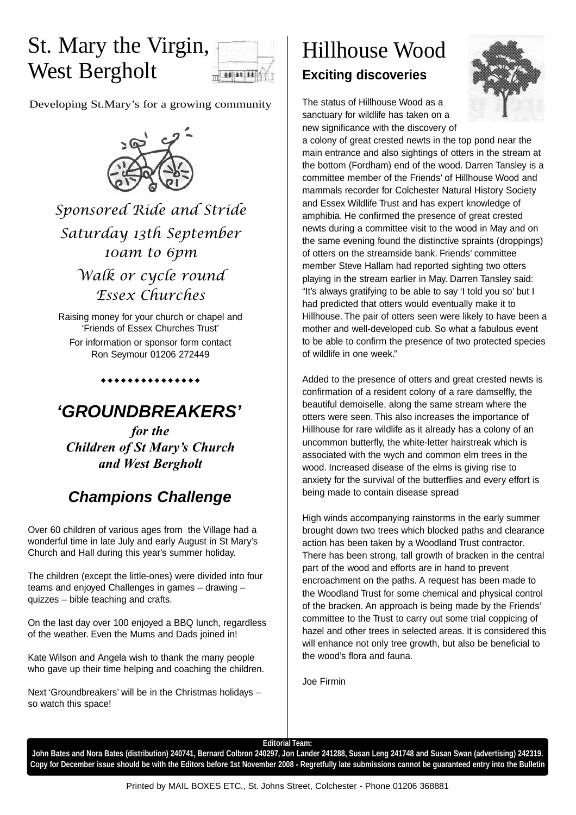# St. Mary the Virgin, West Bergholt



Developing St.Mary's for a growing community



*Sponsored Ride and Stride Saturday 13th September 10am to 6pm Walk or cycle round*

*Essex Churches*

Raising money for your church or chapel and 'Friends of Essex Churches Trust' For information or sponsor form contact Ron Seymour 01206 272449

### *'GROUNDBREAKERS'*

\*\*\*\*\*\*\*\*\*\*\*\*\*

*for the Children of St Mary's Church and West Bergholt*

### *Champions Challenge*

Over 60 children of various ages from the Village had a wonderful time in late July and early August in St Mary's Church and Hall during this year's summer holiday.

The children (except the little-ones) were divided into four teams and enjoyed Challenges in games – drawing – quizzes – bible teaching and crafts.

On the last day over 100 enjoyed a BBQ lunch, regardless of the weather. Even the Mums and Dads joined in!

Kate Wilson and Angela wish to thank the many people who gave up their time helping and coaching the children.

Next 'Groundbreakers' will be in the Christmas holidays – so watch this space!

### Hillhouse Wood **Exciting discoveries**



The status of Hillhouse Wood as a sanctuary for wildlife has taken on a new significance with the discovery of

a colony of great crested newts in the top pond near the main entrance and also sightings of otters in the stream at the bottom (Fordham) end of the wood. Darren Tansley is a committee member of the Friends' of Hillhouse Wood and mammals recorder for Colchester Natural History Society and Essex Wildlife Trust and has expert knowledge of amphibia. He confirmed the presence of great crested newts during a committee visit to the wood in May and on the same evening found the distinctive spraints (droppings) of otters on the streamside bank. Friends' committee member Steve Hallam had reported sighting two otters playing in the stream earlier in May. Darren Tansley said: "It's always gratifying to be able to say 'I told you so' but I had predicted that otters would eventually make it to Hillhouse. The pair of otters seen were likely to have been a mother and well-developed cub. So what a fabulous event to be able to confirm the presence of two protected species of wildlife in one week."

Added to the presence of otters and great crested newts is confirmation of a resident colony of a rare damselfly, the beautiful demoiselle, along the same stream where the otters were seen. This also increases the importance of Hillhouse for rare wildlife as it already has a colony of an uncommon butterfly, the white-letter hairstreak which is associated with the wych and common elm trees in the wood. Increased disease of the elms is giving rise to anxiety for the survival of the butterflies and every effort is being made to contain disease spread

High winds accompanying rainstorms in the early summer brought down two trees which blocked paths and clearance action has been taken by a Woodland Trust contractor. There has been strong, tall growth of bracken in the central part of the wood and efforts are in hand to prevent encroachment on the paths. A request has been made to the Woodland Trust for some chemical and physical control of the bracken. An approach is being made by the Friends' committee to the Trust to carry out some trial coppicing of hazel and other trees in selected areas. It is considered this will enhance not only tree growth, but also be beneficial to the wood's flora and fauna.

Joe Firmin

**Editorial Team:**

**John Bates and Nora Bates (distribution) 240741, Bernard Colbron 240297, Jon Lander 241288, Susan Leng 241748 and Susan Swan (advertising) 242319. Copy for December issue should be with the Editors before 1st November 2008 - Regretfully late submissions cannot be guaranteed entry into the Bulletin**